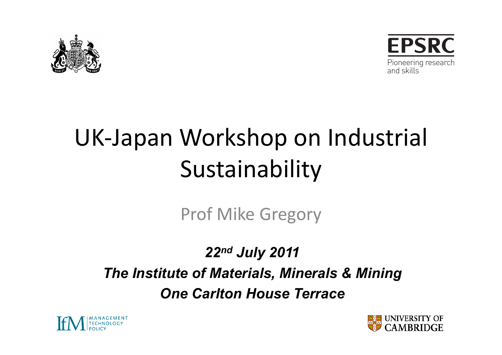



# UK-Japan Workshop on Industrial Sustainability

Prof Mike Gregory

*22nd July 2011 The Institute of Materials, Minerals & Mining One Carlton House Terrace* 



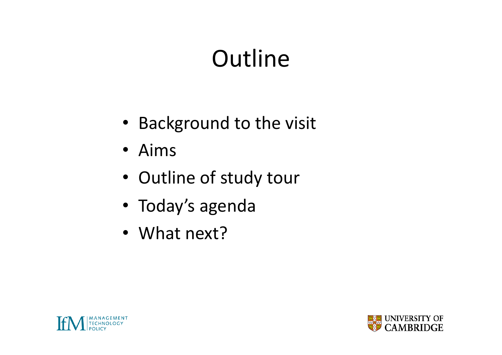### **Outline**

- Background to the visit
- Aims
- Outline of study tour
- Today's agenda
- What  $next?$



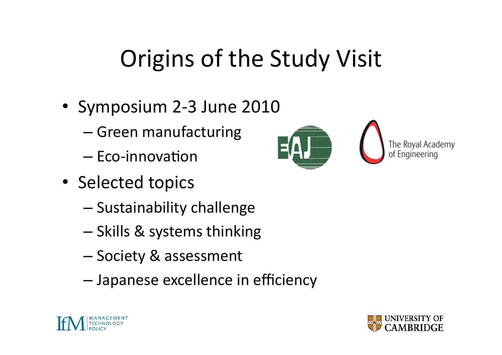## Origins of the Study Visit

- Symposium 2-3 June 2010
	- $-$  Green manufacturing
	- $-$  Eco-innovation
- Selected topics
	- $-$  Sustainability challenge
	- $-$  Skills & systems thinking
	- Society & assessment
	- Japanese excellence in efficiency





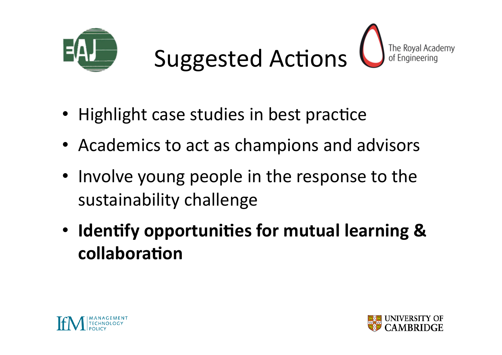



- Highlight case studies in best practice
- Academics to act as champions and advisors
- Involve young people in the response to the sustainability challenge
- Identify opportunities for mutual learning & collaboration



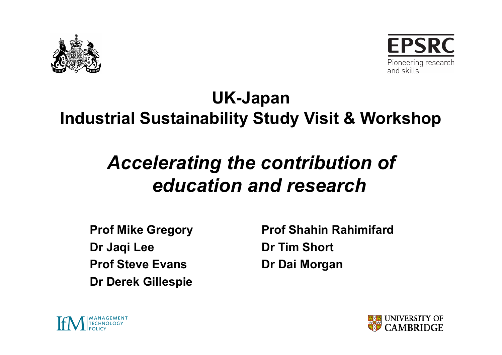



#### **UK-Japan Industrial Sustainability Study Visit & Workshop**

#### *Accelerating the contribution of education and research*

**Dr Jaqi Lee Dr Tim Short Prof Steve Evans by Dr Dai Morgan** *Dr Dai* **Morgan Dr Derek Gillespie** 

**Prof Mike Gregory Prof Shahin Rahimifard** 



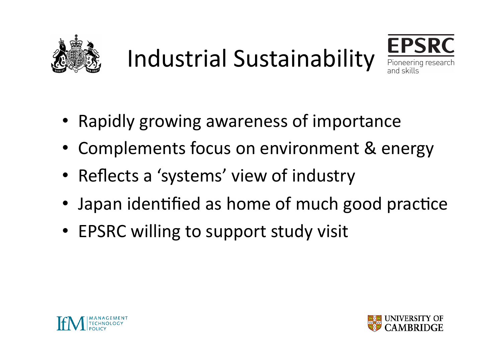

Industrial Sustainability



- Rapidly growing awareness of importance
- Complements focus on environment & energy
- Reflects a 'systems' view of industry
- Japan identified as home of much good practice
- EPSRC willing to support study visit



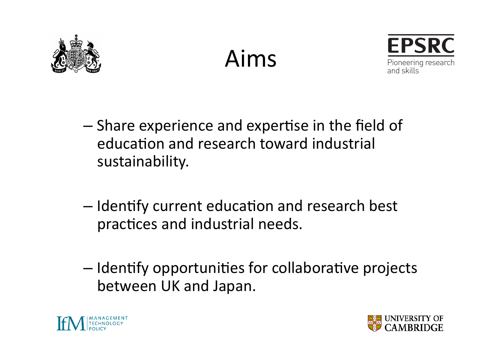





- Share experience and expertise in the field of education and research toward industrial sustainability.
- Identify current education and research best practices and industrial needs.
- $-$  Identify opportunities for collaborative projects between UK and Japan.



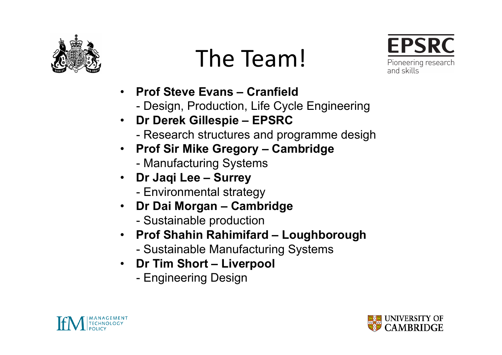

## The Team!



- **Prof Steve Evans Cranfield** 
	- Design, Production, Life Cycle Engineering
- **Dr Derek Gillespie EPSRC** 
	- Research structures and programme desigh
- **Prof Sir Mike Gregory Cambridge** 
	- Manufacturing Systems
- **Dr Jaqi Lee Surrey**  - Environmental strategy
- **Dr Dai Morgan Cambridge** 
	- Sustainable production
- **Prof Shahin Rahimifard Loughborough** 
	- Sustainable Manufacturing Systems
- **Dr Tim Short Liverpool** 
	- Engineering Design



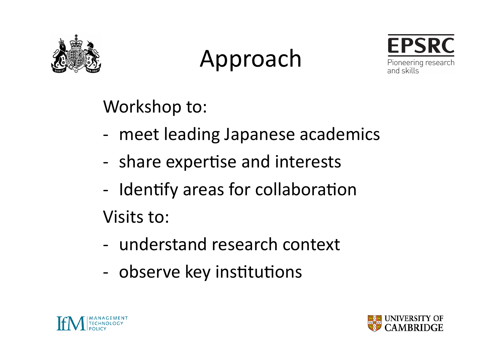

### Approach



Workshop to:

- meet leading Japanese academics
- share expertise and interests
- Identify areas for collaboration

Visits to:

- understand research context
- observe key institutions



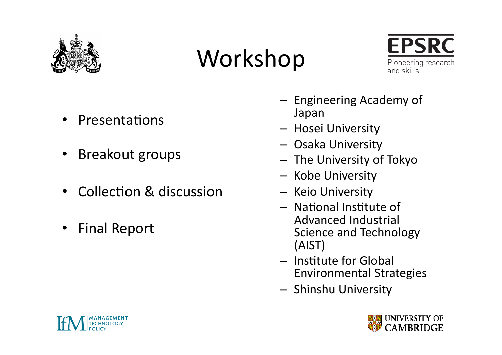

#### Workshop



- Presentations
- Breakout groups
- Collection & discussion
- Final Report
- Engineering Academy of Japan(
- Hosei University
- Osaka University
- The University of Tokyo
- Kobe University
- Keio University
- $-$  National Institute of Advanced Industrial Science and Technology (AIST)(
- $-$  Institute for Global **Environmental Strategies**
- **Shinshu University**



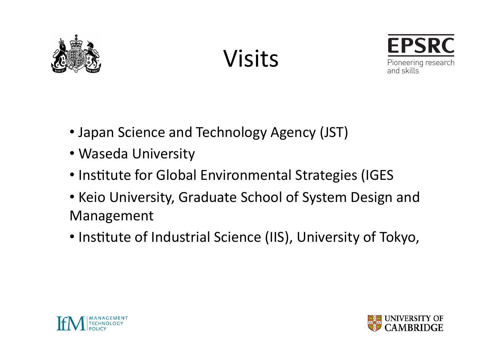





- Japan Science and Technology Agency (JST)
- Waseda University
- Institute for Global Environmental Strategies (IGES
- Keio University, Graduate School of System Design and Management
- Institute of Industrial Science (IIS), University of Tokyo,



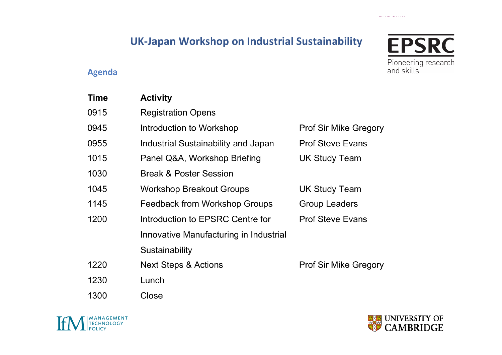#### UK-Japan Workshop on Industrial Sustainability

#### **Agenda**

| Time | <b>Activity</b>                        |                              |
|------|----------------------------------------|------------------------------|
| 0915 | <b>Registration Opens</b>              |                              |
| 0945 | Introduction to Workshop               | <b>Prof Sir Mike Gregory</b> |
| 0955 | Industrial Sustainability and Japan    | <b>Prof Steve Evans</b>      |
| 1015 | Panel Q&A, Workshop Briefing           | <b>UK Study Team</b>         |
| 1030 | <b>Break &amp; Poster Session</b>      |                              |
| 1045 | <b>Workshop Breakout Groups</b>        | <b>UK Study Team</b>         |
| 1145 | <b>Feedback from Workshop Groups</b>   | <b>Group Leaders</b>         |
| 1200 | Introduction to EPSRC Centre for       | <b>Prof Steve Evans</b>      |
|      | Innovative Manufacturing in Industrial |                              |
|      | Sustainability                         |                              |
| 1220 | Next Steps & Actions                   | <b>Prof Sir Mike Gregory</b> |
| 1230 | Lunch                                  |                              |
| 1300 | Close                                  |                              |







المحاملات الفارديف